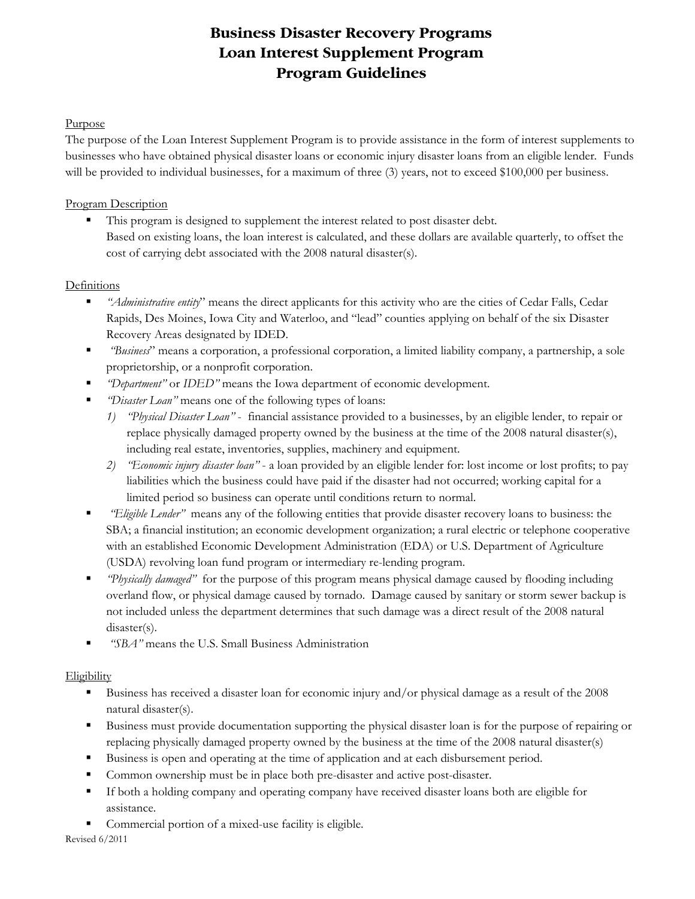# **Business Disaster Recovery Programs Loan Interest Supplement Program Program Guidelines**

### Purpose

The purpose of the Loan Interest Supplement Program is to provide assistance in the form of interest supplements to businesses who have obtained physical disaster loans or economic injury disaster loans from an eligible lender*.* Funds will be provided to individual businesses, for a maximum of three (3) years, not to exceed \$100,000 per business.

# Program Description

This program is designed to supplement the interest related to post disaster debt. Based on existing loans, the loan interest is calculated, and these dollars are available quarterly, to offset the cost of carrying debt associated with the 2008 natural disaster(s).

## **Definitions**

- *"Administrative entity*" means the direct applicants for this activity who are the cities of Cedar Falls, Cedar Rapids, Des Moines, Iowa City and Waterloo, and "lead" counties applying on behalf of the six Disaster Recovery Areas designated by IDED.
- *"Business*" means a corporation, a professional corporation, a limited liability company, a partnership, a sole proprietorship, or a nonprofit corporation.
- *"Department"* or *IDED"* means the Iowa department of economic development.
- *"Disaster Loan"* means one of the following types of loans:
	- *1) "Physical Disaster Loan"* financial assistance provided to a businesses, by an eligible lender, to repair or replace physically damaged property owned by the business at the time of the 2008 natural disaster(s), including real estate, inventories, supplies, machinery and equipment.
	- *2) "Economic injury disaster loan"* a loan provided by an eligible lender for: lost income or lost profits; to pay liabilities which the business could have paid if the disaster had not occurred; working capital for a limited period so business can operate until conditions return to normal.
- *"Eligible Lender"* means any of the following entities that provide disaster recovery loans to business: the SBA; a financial institution; an economic development organization; a rural electric or telephone cooperative with an established Economic Development Administration (EDA) or U.S. Department of Agriculture (USDA) revolving loan fund program or intermediary re-lending program.
- *"Physically damaged"* for the purpose of this program means physical damage caused by flooding including overland flow, or physical damage caused by tornado. Damage caused by sanitary or storm sewer backup is not included unless the department determines that such damage was a direct result of the 2008 natural disaster(s).
- **F** "SBA" means the U.S. Small Business Administration

## Eligibility

- Business has received a disaster loan for economic injury and/or physical damage as a result of the 2008 natural disaster(s).
- Business must provide documentation supporting the physical disaster loan is for the purpose of repairing or replacing physically damaged property owned by the business at the time of the 2008 natural disaster(s)
- Business is open and operating at the time of application and at each disbursement period.
- Common ownership must be in place both pre-disaster and active post-disaster.
- If both a holding company and operating company have received disaster loans both are eligible for assistance.
- Commercial portion of a mixed-use facility is eligible.

Revised 6/2011